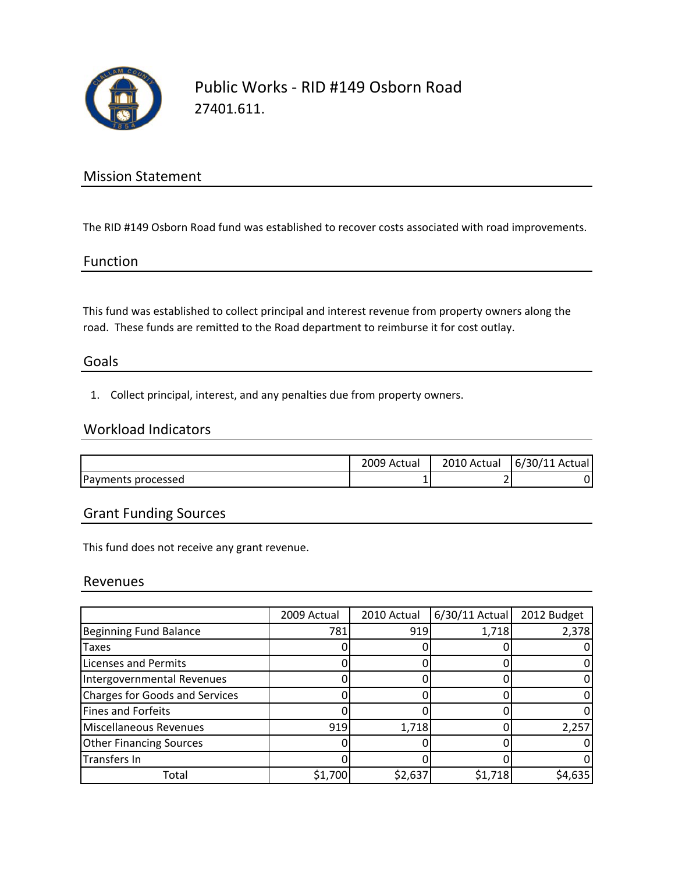

## Public Works ‐ RID #149 Osborn Road 27401.611.

### Mission Statement

The RID #149 Osborn Road fund was established to recover costs associated with road improvements.

#### Function

This fund was established to collect principal and interest revenue from property owners along the road. These funds are remitted to the Road department to reimburse it for cost outlay.

#### Goals

1. Collect principal, interest, and any penalties due from property owners.

#### Workload Indicators

|                    | 2009 Actual | 2010 Actual | $6/30/11$ Actual |
|--------------------|-------------|-------------|------------------|
| Payments processed | ┻           |             | D                |

### Grant Funding Sources

This fund does not receive any grant revenue.

#### Revenues

|                                       | 2009 Actual | 2010 Actual | 6/30/11 Actual | 2012 Budget |
|---------------------------------------|-------------|-------------|----------------|-------------|
| <b>Beginning Fund Balance</b>         | 781         | 919         | 1,718          | 2,378       |
| Taxes                                 |             |             |                |             |
| <b>Licenses and Permits</b>           |             |             |                |             |
| Intergovernmental Revenues            |             |             |                |             |
| <b>Charges for Goods and Services</b> |             |             |                |             |
| Fines and Forfeits                    |             |             |                |             |
| Miscellaneous Revenues                | 919         | 1,718       |                | 2,257       |
| <b>Other Financing Sources</b>        |             |             |                |             |
| Transfers In                          |             |             |                |             |
| Total                                 | \$1,700     | \$2,637     | \$1,718        | \$4,635     |